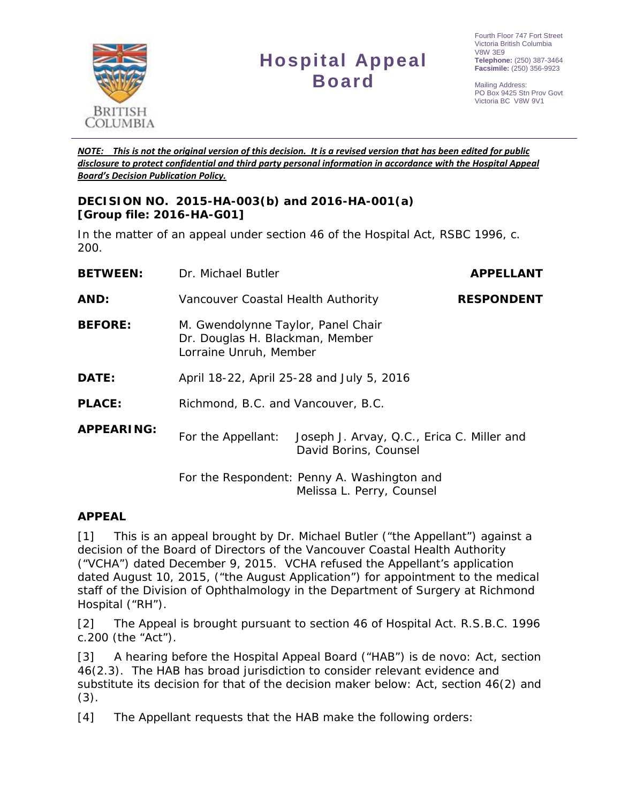

# **Hospital Appeal Board**

Mailing Address: PO Box 9425 Stn Prov Govt Victoria BC V8W 9V1

*NOTE: This is not the original version of this decision. It is a revised version that has been edited for public disclosure to protect confidential and third party personal information in accordance with the Hospital Appeal Board's Decision Publication Policy.*

## **DECISION NO. 2015-HA-003(b) and 2016-HA-001(a) [Group file: 2016-HA-G01]**

In the matter of an appeal under section 46 of the *Hospital Act*, RSBC 1996, c. 200.

| <b>BETWEEN:</b>   | Dr. Michael Butler                                                                              | <b>APPELLANT</b>                                                         |  |
|-------------------|-------------------------------------------------------------------------------------------------|--------------------------------------------------------------------------|--|
| AND:              | Vancouver Coastal Health Authority                                                              | <b>RESPONDENT</b>                                                        |  |
| <b>BEFORE:</b>    | M. Gwendolynne Taylor, Panel Chair<br>Dr. Douglas H. Blackman, Member<br>Lorraine Unruh, Member |                                                                          |  |
| DATE:             | April 18-22, April 25-28 and July 5, 2016                                                       |                                                                          |  |
| <b>PLACE:</b>     | Richmond, B.C. and Vancouver, B.C.                                                              |                                                                          |  |
| <b>APPEARING:</b> | For the Appellant:                                                                              | Joseph J. Arvay, Q.C., Erica C. Miller and<br>David Borins, Counsel      |  |
|                   |                                                                                                 | For the Respondent: Penny A. Washington and<br>Melissa L. Perry, Counsel |  |

## **APPEAL**

[1] This is an appeal brought by Dr. Michael Butler ("the Appellant") against a decision of the Board of Directors of the Vancouver Coastal Health Authority ("VCHA") dated December 9, 2015. VCHA refused the Appellant's application dated August 10, 2015, ("the August Application") for appointment to the medical staff of the Division of Ophthalmology in the Department of Surgery at Richmond Hospital ("RH").

[2] The Appeal is brought pursuant to section 46 of *Hospital Act*. R.S.B.C. 1996 c.200 (the "Act").

[3] A hearing before the Hospital Appeal Board ("HAB") is *de novo:* Act, section 46(2.3). The HAB has broad jurisdiction to consider relevant evidence and substitute its decision for that of the decision maker below: Act, section 46(2) and  $(3).$ 

[4] The Appellant requests that the HAB make the following orders: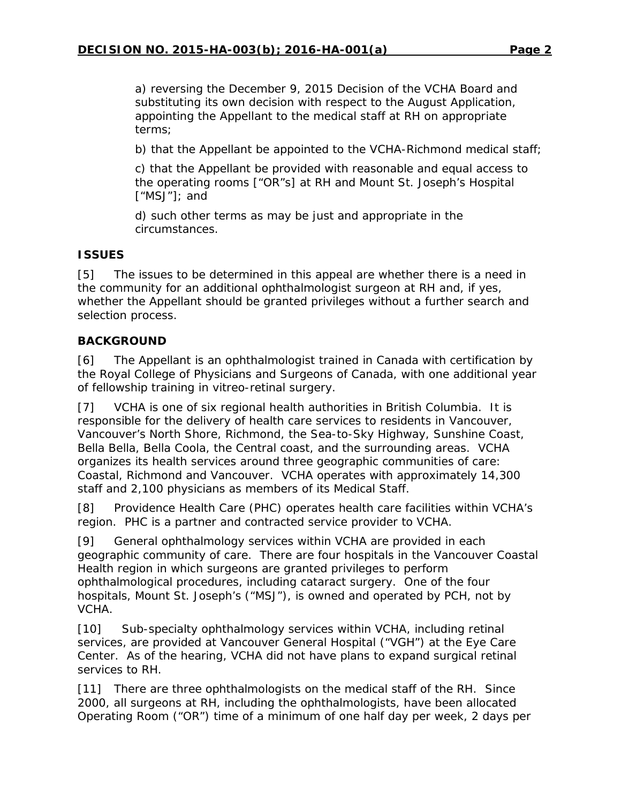a) reversing the December 9, 2015 Decision of the VCHA Board and substituting its own decision with respect to the August Application, appointing the Appellant to the medical staff at RH on appropriate terms;

b) that the Appellant be appointed to the VCHA-Richmond medical staff;

c) that the Appellant be provided with reasonable and equal access to the operating rooms ["OR"s] at RH and Mount St. Joseph's Hospital ["MSJ"]; and

d) such other terms as may be just and appropriate in the circumstances.

## **ISSUES**

[5] The issues to be determined in this appeal are whether there is a need in the community for an additional ophthalmologist surgeon at RH and, if yes, whether the Appellant should be granted privileges without a further search and selection process.

## **BACKGROUND**

[6] The Appellant is an ophthalmologist trained in Canada with certification by the Royal College of Physicians and Surgeons of Canada, with one additional year of fellowship training in vitreo-retinal surgery.

[7] VCHA is one of six regional health authorities in British Columbia. It is responsible for the delivery of health care services to residents in Vancouver, Vancouver's North Shore, Richmond, the Sea-to-Sky Highway, Sunshine Coast, Bella Bella, Bella Coola, the Central coast, and the surrounding areas. VCHA organizes its health services around three geographic communities of care: Coastal, Richmond and Vancouver. VCHA operates with approximately 14,300 staff and 2,100 physicians as members of its Medical Staff.

[8] Providence Health Care (PHC) operates health care facilities within VCHA's region. PHC is a partner and contracted service provider to VCHA.

[9] General ophthalmology services within VCHA are provided in each geographic community of care. There are four hospitals in the Vancouver Coastal Health region in which surgeons are granted privileges to perform ophthalmological procedures, including cataract surgery. One of the four hospitals, Mount St. Joseph's ("MSJ"), is owned and operated by PCH, not by VCHA.

[10] Sub-specialty ophthalmology services within VCHA, including retinal services, are provided at Vancouver General Hospital ("VGH") at the Eye Care Center. As of the hearing, VCHA did not have plans to expand surgical retinal services to RH.

[11] There are three ophthalmologists on the medical staff of the RH. Since 2000, all surgeons at RH, including the ophthalmologists, have been allocated Operating Room ("OR") time of a minimum of one half day per week, 2 days per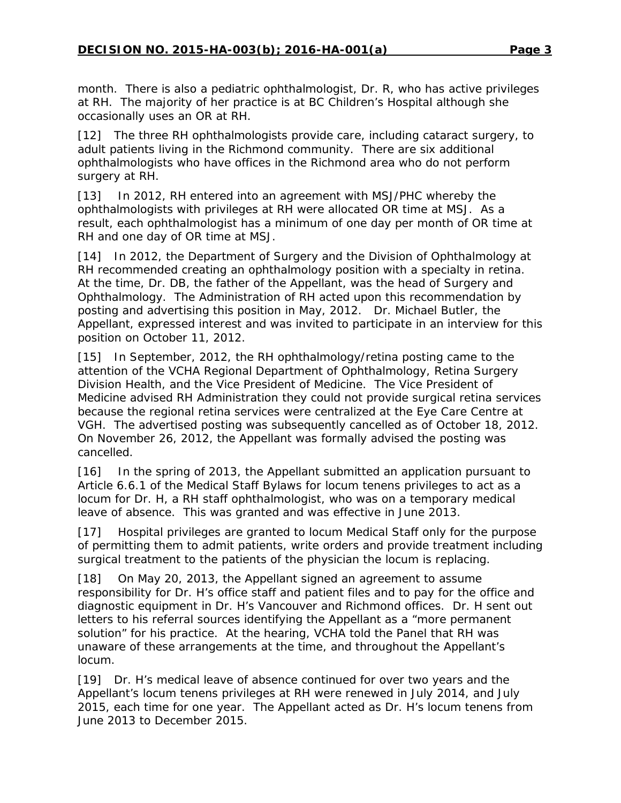month. There is also a pediatric ophthalmologist, Dr. R, who has active privileges at RH. The majority of her practice is at BC Children's Hospital although she occasionally uses an OR at RH.

[12] The three RH ophthalmologists provide care, including cataract surgery, to adult patients living in the Richmond community. There are six additional ophthalmologists who have offices in the Richmond area who do not perform surgery at RH.

[13] In 2012, RH entered into an agreement with MSJ/PHC whereby the ophthalmologists with privileges at RH were allocated OR time at MSJ. As a result, each ophthalmologist has a minimum of one day per month of OR time at RH and one day of OR time at MSJ.

[14] In 2012, the Department of Surgery and the Division of Ophthalmology at RH recommended creating an ophthalmology position with a specialty in retina. At the time, Dr. DB, the father of the Appellant, was the head of Surgery and Ophthalmology. The Administration of RH acted upon this recommendation by posting and advertising this position in May, 2012. Dr. Michael Butler, the Appellant, expressed interest and was invited to participate in an interview for this position on October 11, 2012.

[15] In September, 2012, the RH ophthalmology/retina posting came to the attention of the VCHA Regional Department of Ophthalmology, Retina Surgery Division Health, and the Vice President of Medicine. The Vice President of Medicine advised RH Administration they could not provide surgical retina services because the regional retina services were centralized at the Eye Care Centre at VGH. The advertised posting was subsequently cancelled as of October 18, 2012. On November 26, 2012, the Appellant was formally advised the posting was cancelled.

[16] In the spring of 2013, the Appellant submitted an application pursuant to Article 6.6.1 of the Medical Staff Bylaws for locum tenens privileges to act as a locum for Dr. H, a RH staff ophthalmologist, who was on a temporary medical leave of absence. This was granted and was effective in June 2013.

[17] Hospital privileges are granted to locum Medical Staff only for the purpose of permitting them to admit patients, write orders and provide treatment including surgical treatment to the patients of the physician the locum is replacing.

[18] On May 20, 2013, the Appellant signed an agreement to assume responsibility for Dr. H's office staff and patient files and to pay for the office and diagnostic equipment in Dr. H's Vancouver and Richmond offices. Dr. H sent out letters to his referral sources identifying the Appellant as a "more permanent solution" for his practice. At the hearing, VCHA told the Panel that RH was unaware of these arrangements at the time, and throughout the Appellant's locum.

[19] Dr. H's medical leave of absence continued for over two years and the Appellant's locum tenens privileges at RH were renewed in July 2014, and July 2015, each time for one year. The Appellant acted as Dr. H's locum tenens from June 2013 to December 2015.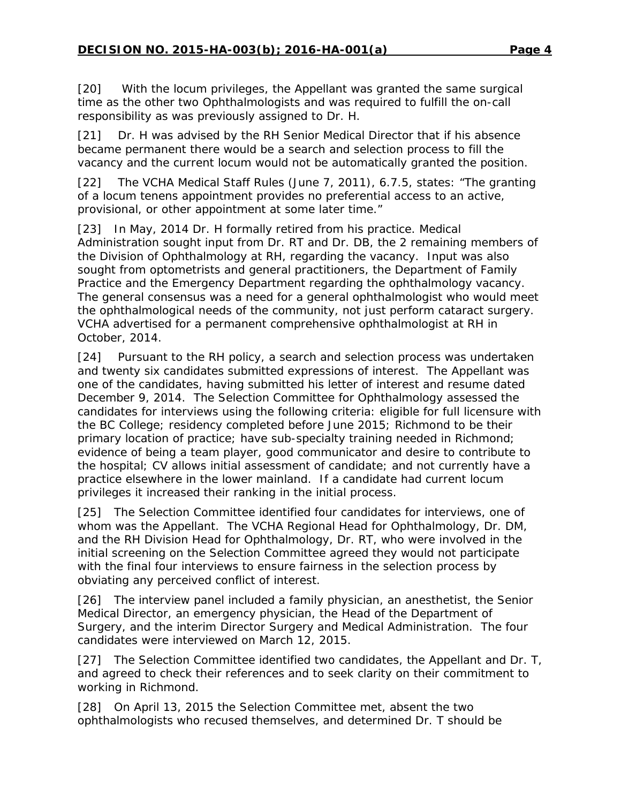[20] With the locum privileges, the Appellant was granted the same surgical time as the other two Ophthalmologists and was required to fulfill the on-call responsibility as was previously assigned to Dr. H.

[21] Dr. H was advised by the RH Senior Medical Director that if his absence became permanent there would be a search and selection process to fill the vacancy and the current locum would not be automatically granted the position.

[22] The VCHA Medical Staff Rules (June 7, 2011), 6.7.5, states: "The granting of a locum tenens appointment provides no preferential access to an active, provisional, or other appointment at some later time."

[23] In May, 2014 Dr. H formally retired from his practice. Medical Administration sought input from Dr. RT and Dr. DB, the 2 remaining members of the Division of Ophthalmology at RH, regarding the vacancy. Input was also sought from optometrists and general practitioners, the Department of Family Practice and the Emergency Department regarding the ophthalmology vacancy. The general consensus was a need for a general ophthalmologist who would meet the ophthalmological needs of the community, not just perform cataract surgery. VCHA advertised for a permanent comprehensive ophthalmologist at RH in October, 2014.

[24] Pursuant to the RH policy, a search and selection process was undertaken and twenty six candidates submitted expressions of interest. The Appellant was one of the candidates, having submitted his letter of interest and resume dated December 9, 2014. The Selection Committee for Ophthalmology assessed the candidates for interviews using the following criteria: eligible for full licensure with the BC College; residency completed before June 2015; Richmond to be their primary location of practice; have sub-specialty training needed in Richmond; evidence of being a team player, good communicator and desire to contribute to the hospital; CV allows initial assessment of candidate; and not currently have a practice elsewhere in the lower mainland. If a candidate had current locum privileges it increased their ranking in the initial process.

[25] The Selection Committee identified four candidates for interviews, one of whom was the Appellant. The VCHA Regional Head for Ophthalmology, Dr. DM, and the RH Division Head for Ophthalmology, Dr. RT, who were involved in the initial screening on the Selection Committee agreed they would not participate with the final four interviews to ensure fairness in the selection process by obviating any perceived conflict of interest.

[26] The interview panel included a family physician, an anesthetist, the Senior Medical Director, an emergency physician, the Head of the Department of Surgery, and the interim Director Surgery and Medical Administration. The four candidates were interviewed on March 12, 2015.

[27] The Selection Committee identified two candidates, the Appellant and Dr. T, and agreed to check their references and to seek clarity on their commitment to working in Richmond.

[28] On April 13, 2015 the Selection Committee met, absent the two ophthalmologists who recused themselves, and determined Dr. T should be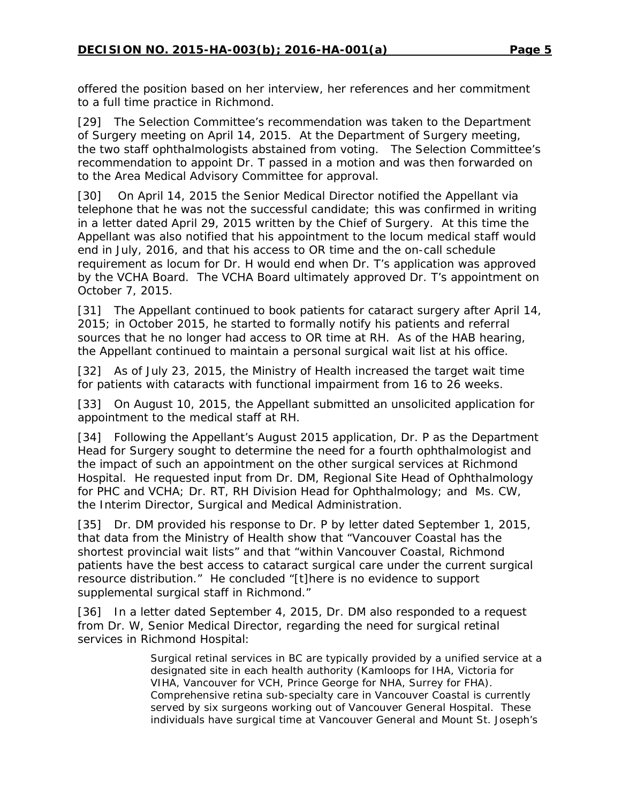offered the position based on her interview, her references and her commitment to a full time practice in Richmond.

[29] The Selection Committee's recommendation was taken to the Department of Surgery meeting on April 14, 2015. At the Department of Surgery meeting, the two staff ophthalmologists abstained from voting. The Selection Committee's recommendation to appoint Dr. T passed in a motion and was then forwarded on to the Area Medical Advisory Committee for approval.

[30] On April 14, 2015 the Senior Medical Director notified the Appellant via telephone that he was not the successful candidate; this was confirmed in writing in a letter dated April 29, 2015 written by the Chief of Surgery. At this time the Appellant was also notified that his appointment to the locum medical staff would end in July, 2016, and that his access to OR time and the on-call schedule requirement as locum for Dr. H would end when Dr. T's application was approved by the VCHA Board. The VCHA Board ultimately approved Dr. T's appointment on October 7, 2015.

[31] The Appellant continued to book patients for cataract surgery after April 14, 2015; in October 2015, he started to formally notify his patients and referral sources that he no longer had access to OR time at RH. As of the HAB hearing, the Appellant continued to maintain a personal surgical wait list at his office.

[32] As of July 23, 2015, the Ministry of Health increased the target wait time for patients with cataracts with functional impairment from 16 to 26 weeks.

[33] On August 10, 2015, the Appellant submitted an unsolicited application for appointment to the medical staff at RH.

[34] Following the Appellant's August 2015 application, Dr. P as the Department Head for Surgery sought to determine the need for a fourth ophthalmologist and the impact of such an appointment on the other surgical services at Richmond Hospital. He requested input from Dr. DM, Regional Site Head of Ophthalmology for PHC and VCHA; Dr. RT, RH Division Head for Ophthalmology; and Ms. CW, the Interim Director, Surgical and Medical Administration.

[35] Dr. DM provided his response to Dr. P by letter dated September 1, 2015, that data from the Ministry of Health show that "Vancouver Coastal has the shortest provincial wait lists" and that "within Vancouver Coastal, Richmond patients have the best access to cataract surgical care under the current surgical resource distribution." He concluded "[t]here is no evidence to support supplemental surgical staff in Richmond."

[36] In a letter dated September 4, 2015, Dr. DM also responded to a request from Dr. W, Senior Medical Director, regarding the need for surgical retinal services in Richmond Hospital:

> Surgical retinal services in BC are typically provided by a unified service at a designated site in each health authority (Kamloops for IHA, Victoria for VIHA, Vancouver for VCH, Prince George for NHA, Surrey for FHA). Comprehensive retina sub-specialty care in Vancouver Coastal is currently served by six surgeons working out of Vancouver General Hospital. These individuals have surgical time at Vancouver General and Mount St. Joseph's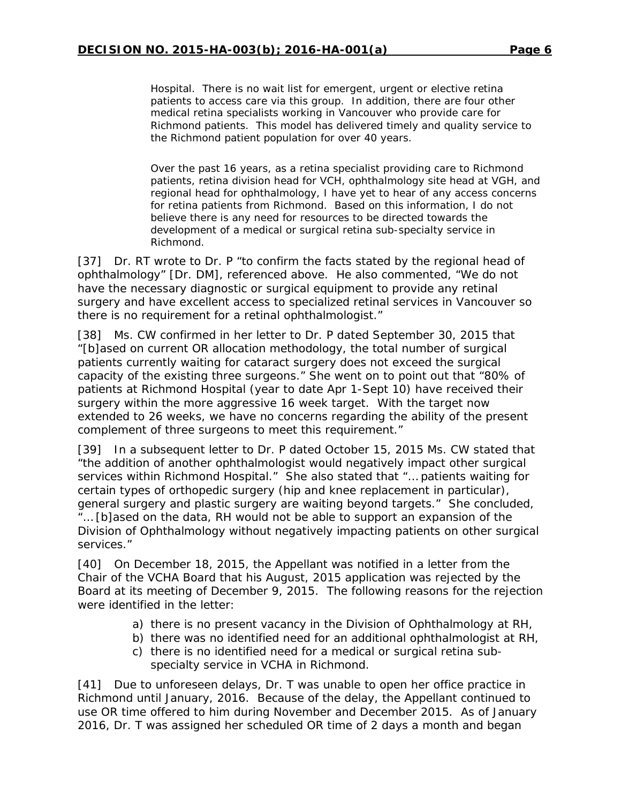Hospital. There is no wait list for emergent, urgent or elective retina patients to access care via this group. In addition, there are four other medical retina specialists working in Vancouver who provide care for Richmond patients. This model has delivered timely and quality service to the Richmond patient population for over 40 years.

Over the past 16 years, as a retina specialist providing care to Richmond patients, retina division head for VCH, ophthalmology site head at VGH, and regional head for ophthalmology, I have yet to hear of any access concerns for retina patients from Richmond. Based on this information, I do not believe there is any need for resources to be directed towards the development of a medical or surgical retina sub-specialty service in Richmond.

[37] Dr. RT wrote to Dr. P "to confirm the facts stated by the regional head of ophthalmology" [Dr. DM], referenced above. He also commented, "We do not have the necessary diagnostic or surgical equipment to provide any retinal surgery and have excellent access to specialized retinal services in Vancouver so there is no requirement for a retinal ophthalmologist."

[38] Ms. CW confirmed in her letter to Dr. P dated September 30, 2015 that "[b]ased on current OR allocation methodology, the total number of surgical patients currently waiting for cataract surgery does not exceed the surgical capacity of the existing three surgeons." She went on to point out that "80% of patients at Richmond Hospital (year to date Apr 1-Sept 10) have received their surgery within the more aggressive 16 week target. With the target now extended to 26 weeks, we have no concerns regarding the ability of the present complement of three surgeons to meet this requirement."

[39] In a subsequent letter to Dr. P dated October 15, 2015 Ms. CW stated that "the addition of another ophthalmologist would negatively impact other surgical services within Richmond Hospital." She also stated that "… patients waiting for certain types of orthopedic surgery (hip and knee replacement in particular), general surgery and plastic surgery are waiting beyond targets." She concluded, "… [b]ased on the data, RH would not be able to support an expansion of the Division of Ophthalmology without negatively impacting patients on other surgical services."

[40] On December 18, 2015, the Appellant was notified in a letter from the Chair of the VCHA Board that his August, 2015 application was rejected by the Board at its meeting of December 9, 2015. The following reasons for the rejection were identified in the letter:

- a) there is no present vacancy in the Division of Ophthalmology at RH,
- b) there was no identified need for an additional ophthalmologist at RH,
- c) there is no identified need for a medical or surgical retina subspecialty service in VCHA in Richmond.

[41] Due to unforeseen delays, Dr. T was unable to open her office practice in Richmond until January, 2016. Because of the delay, the Appellant continued to use OR time offered to him during November and December 2015. As of January 2016, Dr. T was assigned her scheduled OR time of 2 days a month and began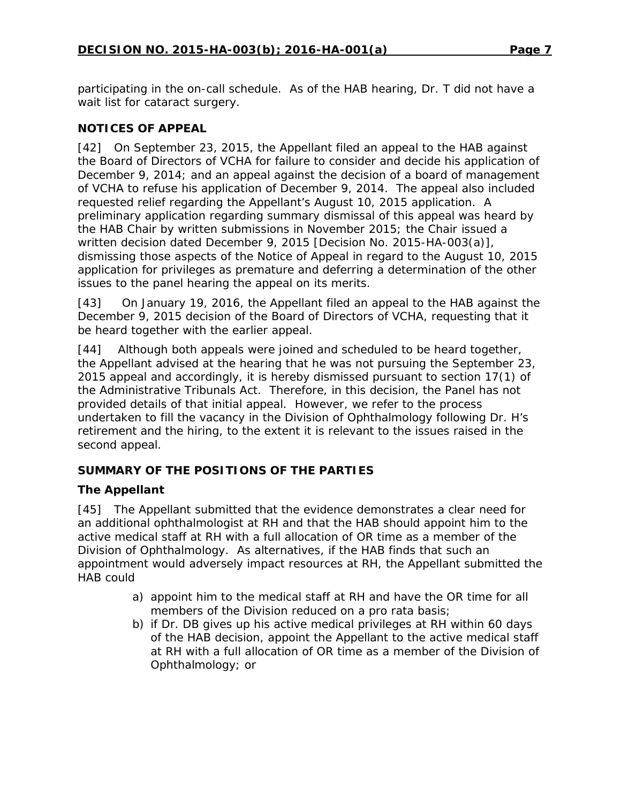participating in the on-call schedule. As of the HAB hearing, Dr. T did not have a wait list for cataract surgery.

## **NOTICES OF APPEAL**

[42] On September 23, 2015, the Appellant filed an appeal to the HAB against the Board of Directors of VCHA for failure to consider and decide his application of December 9, 2014; and an appeal against the decision of a board of management of VCHA to refuse his application of December 9, 2014. The appeal also included requested relief regarding the Appellant's August 10, 2015 application. A preliminary application regarding summary dismissal of this appeal was heard by the HAB Chair by written submissions in November 2015; the Chair issued a written decision dated December 9, 2015 [Decision No. 2015-HA-003(a)], dismissing those aspects of the Notice of Appeal in regard to the August 10, 2015 application for privileges as premature and deferring a determination of the other issues to the panel hearing the appeal on its merits.

[43] On January 19, 2016, the Appellant filed an appeal to the HAB against the December 9, 2015 decision of the Board of Directors of VCHA, requesting that it be heard together with the earlier appeal.

[44] Although both appeals were joined and scheduled to be heard together, the Appellant advised at the hearing that he was not pursuing the September 23, 2015 appeal and accordingly, it is hereby dismissed pursuant to section 17(1) of the *Administrative Tribunals Act*. Therefore, in this decision, the Panel has not provided details of that initial appeal. However, we refer to the process undertaken to fill the vacancy in the Division of Ophthalmology following Dr. H's retirement and the hiring, to the extent it is relevant to the issues raised in the second appeal.

# **SUMMARY OF THE POSITIONS OF THE PARTIES**

## *The Appellant*

[45] The Appellant submitted that the evidence demonstrates a clear need for an additional ophthalmologist at RH and that the HAB should appoint him to the active medical staff at RH with a full allocation of OR time as a member of the Division of Ophthalmology. As alternatives, if the HAB finds that such an appointment would adversely impact resources at RH, the Appellant submitted the HAB could

- a) appoint him to the medical staff at RH and have the OR time for all members of the Division reduced on a *pro rata* basis;
- b) if Dr. DB gives up his active medical privileges at RH within 60 days of the HAB decision, appoint the Appellant to the active medical staff at RH with a full allocation of OR time as a member of the Division of Ophthalmology; or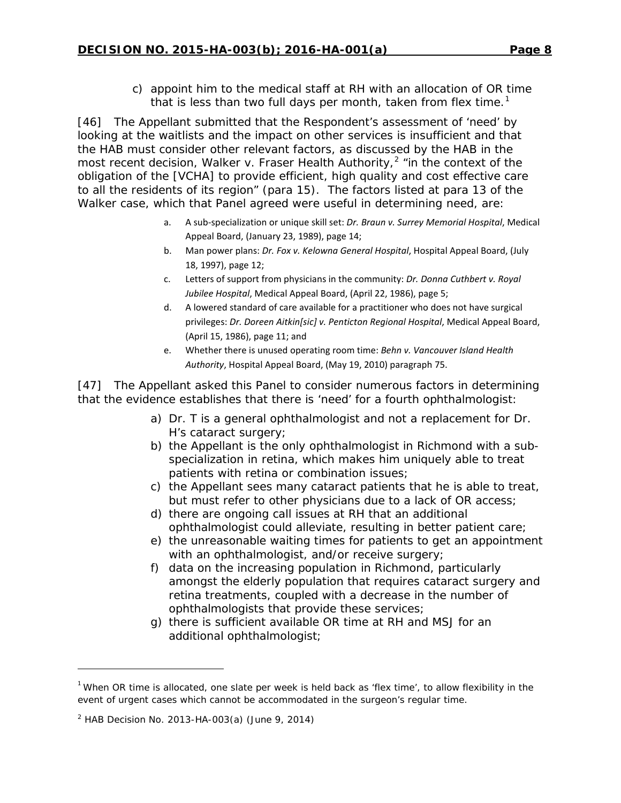c) appoint him to the medical staff at RH with an allocation of OR time that is less than two full days per month, taken from flex time.<sup>[1](#page-7-0)</sup>

[46] The Appellant submitted that the Respondent's assessment of 'need' by looking at the waitlists and the impact on other services is insufficient and that the HAB must consider other relevant factors, as discussed by the HAB in the most recent decision, *Walker v. Fraser Health Authority*, [2](#page-7-1) "in the context of the obligation of the [VCHA] to provide efficient, high quality and cost effective care to all the residents of its region" (para 15). The factors listed at para 13 of the *Walker* case, which that Panel agreed were useful in determining need, are:

- a. A sub-specialization or unique skill set: *Dr. Braun v. Surrey Memorial Hospital*, Medical Appeal Board, (January 23, 1989), page 14;
- b. Man power plans: *Dr. Fox v. Kelowna General Hospital*, Hospital Appeal Board, (July 18, 1997), page 12;
- c. Letters of support from physicians in the community: *Dr. Donna Cuthbert v. Royal Jubilee Hospital*, Medical Appeal Board, (April 22, 1986), page 5;
- d. A lowered standard of care available for a practitioner who does not have surgical privileges: *Dr. Doreen Aitkin[sic] v. Penticton Regional Hospital*, Medical Appeal Board, (April 15, 1986), page 11; and
- e. Whether there is unused operating room time: *Behn v. Vancouver Island Health Authority*, Hospital Appeal Board, (May 19, 2010) paragraph 75.

[47] The Appellant asked this Panel to consider numerous factors in determining that the evidence establishes that there is 'need' for a fourth ophthalmologist:

- a) Dr. T is a general ophthalmologist and not a replacement for Dr. H's cataract surgery;
- b) the Appellant is the only ophthalmologist in Richmond with a subspecialization in retina, which makes him uniquely able to treat patients with retina or combination issues;
- c) the Appellant sees many cataract patients that he is able to treat, but must refer to other physicians due to a lack of OR access;
- d) there are ongoing call issues at RH that an additional ophthalmologist could alleviate, resulting in better patient care;
- e) the unreasonable waiting times for patients to get an appointment with an ophthalmologist, and/or receive surgery;
- f) data on the increasing population in Richmond, particularly amongst the elderly population that requires cataract surgery and retina treatments, coupled with a decrease in the number of ophthalmologists that provide these services;
- g) there is sufficient available OR time at RH and MSJ for an additional ophthalmologist;

l

<span id="page-7-0"></span><sup>&</sup>lt;sup>1</sup> When OR time is allocated, one slate per week is held back as 'flex time', to allow flexibility in the event of urgent cases which cannot be accommodated in the surgeon's regular time.

<span id="page-7-1"></span> $2$  HAB Decision No. 2013-HA-003(a) (June 9, 2014)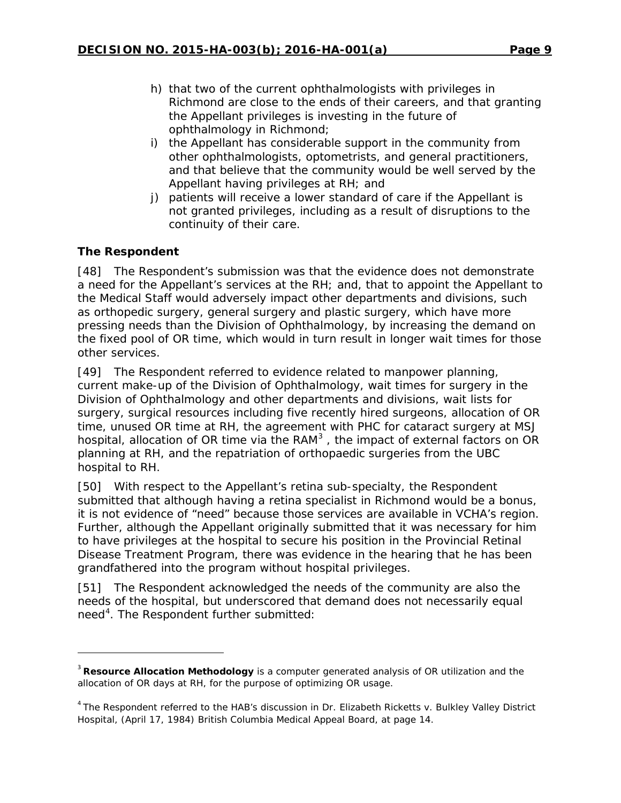- h) that two of the current ophthalmologists with privileges in Richmond are close to the ends of their careers, and that granting the Appellant privileges is investing in the future of ophthalmology in Richmond;
- i) the Appellant has considerable support in the community from other ophthalmologists, optometrists, and general practitioners, and that believe that the community would be well served by the Appellant having privileges at RH; and
- j) patients will receive a lower standard of care if the Appellant is not granted privileges, including as a result of disruptions to the continuity of their care.

# *The Respondent*

l

[48] The Respondent's submission was that the evidence does not demonstrate a need for the Appellant's services at the RH; and, that to appoint the Appellant to the Medical Staff would adversely impact other departments and divisions, such as orthopedic surgery, general surgery and plastic surgery, which have more pressing needs than the Division of Ophthalmology, by increasing the demand on the fixed pool of OR time, which would in turn result in longer wait times for those other services.

[49] The Respondent referred to evidence related to manpower planning, current make-up of the Division of Ophthalmology, wait times for surgery in the Division of Ophthalmology and other departments and divisions, wait lists for surgery, surgical resources including five recently hired surgeons, allocation of OR time, unused OR time at RH, the agreement with PHC for cataract surgery at MSJ hospital, allocation of OR time via the RAM<sup>[3](#page-8-0)</sup>, the impact of external factors on OR planning at RH, and the repatriation of orthopaedic surgeries from the UBC hospital to RH.

[50] With respect to the Appellant's retina sub-specialty, the Respondent submitted that although having a retina specialist in Richmond would be a bonus, it is not evidence of "need" because those services are available in VCHA's region. Further, although the Appellant originally submitted that it was necessary for him to have privileges at the hospital to secure his position in the Provincial Retinal Disease Treatment Program, there was evidence in the hearing that he has been grandfathered into the program without hospital privileges.

[51] The Respondent acknowledged the needs of the community are also the needs of the hospital, but underscored that demand does not necessarily equal need<sup>[4](#page-8-1)</sup>. The Respondent further submitted:

<span id="page-8-0"></span><sup>3</sup> **Resource Allocation Methodology** is a computer generated analysis of OR utilization and the allocation of OR days at RH, for the purpose of optimizing OR usage.

<span id="page-8-1"></span><sup>4</sup> The Respondent referred to the HAB's discussion in *Dr. Elizabeth Ricketts v. Bulkley Valley District Hospital*, (April 17, 1984) British Columbia Medical Appeal Board, at page 14.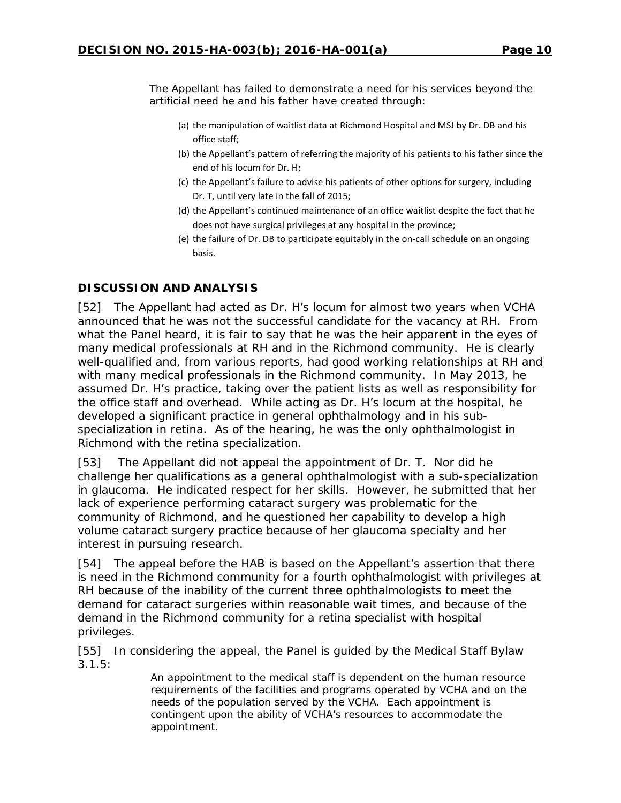The Appellant has failed to demonstrate a need for his services beyond the artificial need he and his father have created through:

- (a) the manipulation of waitlist data at Richmond Hospital and MSJ by Dr. DB and his office staff;
- (b) the Appellant's pattern of referring the majority of his patients to his father since the end of his locum for Dr. H;
- (c) the Appellant's failure to advise his patients of other options for surgery, including Dr. T, until very late in the fall of 2015;
- (d) the Appellant's continued maintenance of an office waitlist despite the fact that he does not have surgical privileges at any hospital in the province;
- (e) the failure of Dr. DB to participate equitably in the on-call schedule on an ongoing basis.

## **DISCUSSION AND ANALYSIS**

[52] The Appellant had acted as Dr. H's locum for almost two years when VCHA announced that he was not the successful candidate for the vacancy at RH. From what the Panel heard, it is fair to say that he was the heir apparent in the eyes of many medical professionals at RH and in the Richmond community. He is clearly well-qualified and, from various reports, had good working relationships at RH and with many medical professionals in the Richmond community. In May 2013, he assumed Dr. H's practice, taking over the patient lists as well as responsibility for the office staff and overhead. While acting as Dr. H's locum at the hospital, he developed a significant practice in general ophthalmology and in his subspecialization in retina. As of the hearing, he was the only ophthalmologist in Richmond with the retina specialization.

[53] The Appellant did not appeal the appointment of Dr. T. Nor did he challenge her qualifications as a general ophthalmologist with a sub-specialization in glaucoma. He indicated respect for her skills. However, he submitted that her lack of experience performing cataract surgery was problematic for the community of Richmond, and he questioned her capability to develop a high volume cataract surgery practice because of her glaucoma specialty and her interest in pursuing research.

[54] The appeal before the HAB is based on the Appellant's assertion that there is need in the Richmond community for a fourth ophthalmologist with privileges at RH because of the inability of the current three ophthalmologists to meet the demand for cataract surgeries within reasonable wait times, and because of the demand in the Richmond community for a retina specialist with hospital privileges.

[55] In considering the appeal, the Panel is guided by the Medical Staff Bylaw  $3.1.5:$ 

> An appointment to the medical staff is dependent on the human resource requirements of the facilities and programs operated by VCHA and on the needs of the population served by the VCHA. Each appointment is contingent upon the ability of VCHA's resources to accommodate the appointment.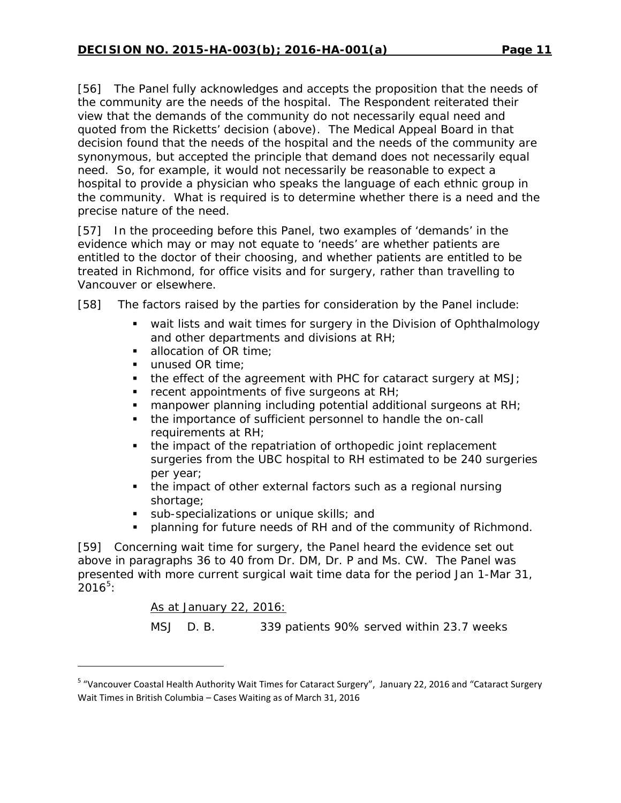[56] The Panel fully acknowledges and accepts the proposition that the needs of the community are the needs of the hospital. The Respondent reiterated their view that the demands of the community do not necessarily equal need and quoted from the *Ricketts*' decision (above). The Medical Appeal Board in that decision found that the needs of the hospital and the needs of the community are synonymous, but accepted the principle that demand does not necessarily equal need. So, for example, it would not necessarily be reasonable to expect a hospital to provide a physician who speaks the language of each ethnic group in the community. What is required is to determine whether there is a need and the precise nature of the need.

[57] In the proceeding before this Panel, two examples of 'demands' in the evidence which may or may not equate to 'needs' are whether patients are entitled to the doctor of their choosing, and whether patients are entitled to be treated in Richmond, for office visits and for surgery, rather than travelling to Vancouver or elsewhere.

[58] The factors raised by the parties for consideration by the Panel include:

- wait lists and wait times for surgery in the Division of Ophthalmology and other departments and divisions at RH;
- allocation of OR time:
- unused OR time;
- $\blacksquare$  the effect of the agreement with PHC for cataract surgery at MSJ;
- $\blacksquare$  recent appointments of five surgeons at RH;
- **nanpower planning including potential additional surgeons at RH;**
- the importance of sufficient personnel to handle the on-call requirements at RH;
- the impact of the repatriation of orthopedic joint replacement surgeries from the UBC hospital to RH estimated to be 240 surgeries per year;
- the impact of other external factors such as a regional nursing shortage;
- sub-specializations or unique skills; and
- planning for future needs of RH and of the community of Richmond.

[59] Concerning wait time for surgery, the Panel heard the evidence set out above in paragraphs 36 to 40 from Dr. DM, Dr. P and Ms. CW. The Panel was presented with more current surgical wait time data for the period Jan 1-Mar 31,  $2016^5$  $2016^5$ :

As at January 22, 2016:

1

MSJ D. B. 339 patients 90% served within 23.7 weeks

<span id="page-10-0"></span><sup>5</sup> "Vancouver Coastal Health Authority Wait Times for Cataract Surgery", January 22, 2016 and "Cataract Surgery Wait Times in British Columbia – Cases Waiting as of March 31, 2016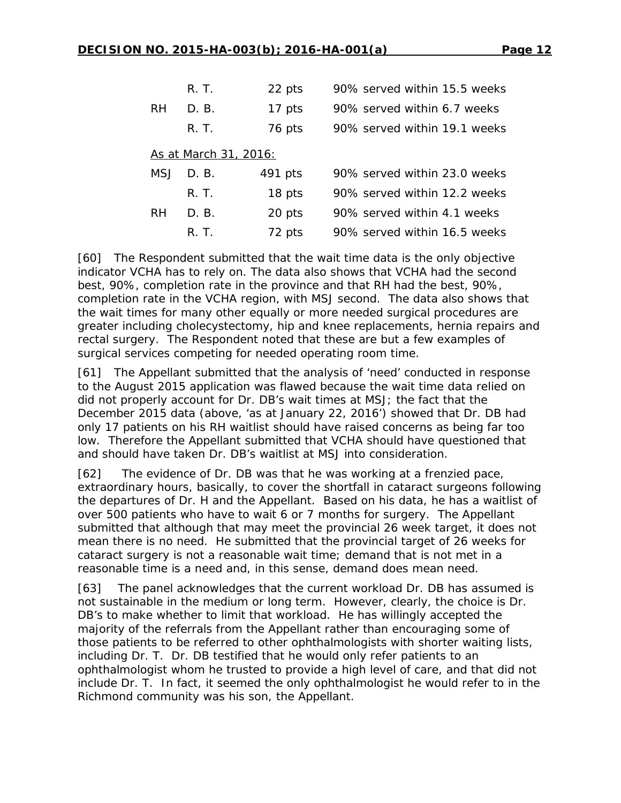|                       | R. T. | 22 pts  | 90% served within 15.5 weeks |  |
|-----------------------|-------|---------|------------------------------|--|
| <b>RH</b>             | D. B. | 17 pts  | 90% served within 6.7 weeks  |  |
|                       | R. T. | 76 pts  | 90% served within 19.1 weeks |  |
| As at March 31, 2016: |       |         |                              |  |
| MSJ                   | D. B. | 491 pts | 90% served within 23.0 weeks |  |
|                       | R. T. | 18 pts  | 90% served within 12.2 weeks |  |
| RH                    | D. B. | 20 pts  | 90% served within 4.1 weeks  |  |
|                       | R. T. | 72 pts  | 90% served within 16.5 weeks |  |

[60] The Respondent submitted that the wait time data is the only objective indicator VCHA has to rely on. The data also shows that VCHA had the second best, 90%, completion rate in the province and that RH had the best, 90%, completion rate in the VCHA region, with MSJ second. The data also shows that the wait times for many other equally or more needed surgical procedures are greater including cholecystectomy, hip and knee replacements, hernia repairs and rectal surgery. The Respondent noted that these are but a few examples of surgical services competing for needed operating room time.

[61] The Appellant submitted that the analysis of 'need' conducted in response to the August 2015 application was flawed because the wait time data relied on did not properly account for Dr. DB's wait times at MSJ; the fact that the December 2015 data (above, 'as at January 22, 2016') showed that Dr. DB had only 17 patients on his RH waitlist should have raised concerns as being far too low. Therefore the Appellant submitted that VCHA should have questioned that and should have taken Dr. DB's waitlist at MSJ into consideration.

[62] The evidence of Dr. DB was that he was working at a frenzied pace, extraordinary hours, basically, to cover the shortfall in cataract surgeons following the departures of Dr. H and the Appellant. Based on his data, he has a waitlist of over 500 patients who have to wait 6 or 7 months for surgery. The Appellant submitted that although that may meet the provincial 26 week target, it does not mean there is no need. He submitted that the provincial target of 26 weeks for cataract surgery is not a reasonable wait time; demand that is not met in a reasonable time is a need and, in this sense, demand does mean need.

[63] The panel acknowledges that the current workload Dr. DB has assumed is not sustainable in the medium or long term. However, clearly, the choice is Dr. DB's to make whether to limit that workload. He has willingly accepted the majority of the referrals from the Appellant rather than encouraging some of those patients to be referred to other ophthalmologists with shorter waiting lists, including Dr. T. Dr. DB testified that he would only refer patients to an ophthalmologist whom he trusted to provide a high level of care, and that did not include Dr. T. In fact, it seemed the only ophthalmologist he would refer to in the Richmond community was his son, the Appellant.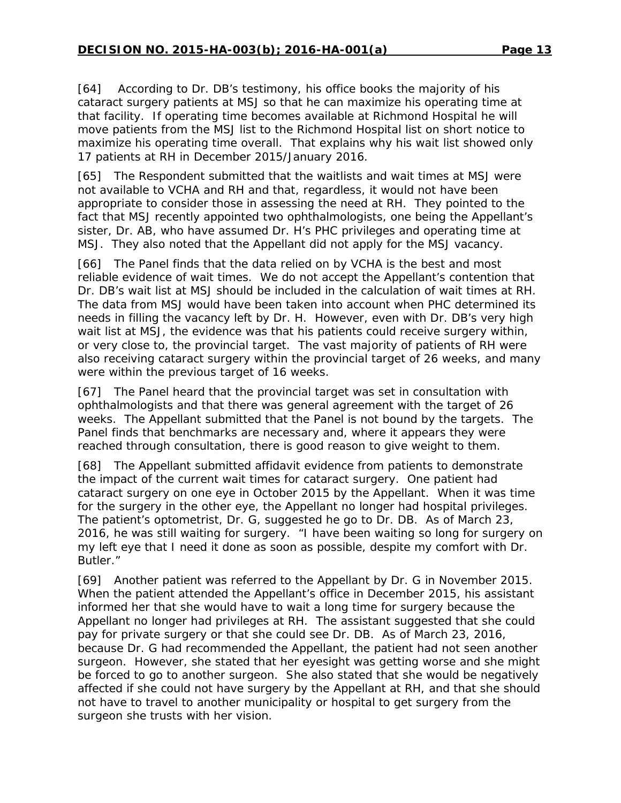[64] According to Dr. DB's testimony, his office books the majority of his cataract surgery patients at MSJ so that he can maximize his operating time at that facility. If operating time becomes available at Richmond Hospital he will move patients from the MSJ list to the Richmond Hospital list on short notice to maximize his operating time overall. That explains why his wait list showed only 17 patients at RH in December 2015/January 2016.

[65] The Respondent submitted that the waitlists and wait times at MSJ were not available to VCHA and RH and that, regardless, it would not have been appropriate to consider those in assessing the need at RH. They pointed to the fact that MSJ recently appointed two ophthalmologists, one being the Appellant's sister, Dr. AB, who have assumed Dr. H's PHC privileges and operating time at MSJ. They also noted that the Appellant did not apply for the MSJ vacancy.

[66] The Panel finds that the data relied on by VCHA is the best and most reliable evidence of wait times. We do not accept the Appellant's contention that Dr. DB's wait list at MSJ should be included in the calculation of wait times at RH. The data from MSJ would have been taken into account when PHC determined its needs in filling the vacancy left by Dr. H. However, even with Dr. DB's very high wait list at MSJ, the evidence was that his patients could receive surgery within, or very close to, the provincial target. The vast majority of patients of RH were also receiving cataract surgery within the provincial target of 26 weeks, and many were within the previous target of 16 weeks.

[67] The Panel heard that the provincial target was set in consultation with ophthalmologists and that there was general agreement with the target of 26 weeks. The Appellant submitted that the Panel is not bound by the targets. The Panel finds that benchmarks are necessary and, where it appears they were reached through consultation, there is good reason to give weight to them.

[68] The Appellant submitted affidavit evidence from patients to demonstrate the impact of the current wait times for cataract surgery. One patient had cataract surgery on one eye in October 2015 by the Appellant. When it was time for the surgery in the other eye, the Appellant no longer had hospital privileges. The patient's optometrist, Dr. G, suggested he go to Dr. DB. As of March 23, 2016, he was still waiting for surgery. "I have been waiting so long for surgery on my left eye that I need it done as soon as possible, despite my comfort with Dr. Butler."

[69] Another patient was referred to the Appellant by Dr. G in November 2015. When the patient attended the Appellant's office in December 2015, his assistant informed her that she would have to wait a long time for surgery because the Appellant no longer had privileges at RH. The assistant suggested that she could pay for private surgery or that she could see Dr. DB. As of March 23, 2016, because Dr. G had recommended the Appellant, the patient had not seen another surgeon. However, she stated that her eyesight was getting worse and she might be forced to go to another surgeon. She also stated that she would be negatively affected if she could not have surgery by the Appellant at RH, and that she should not have to travel to another municipality or hospital to get surgery from the surgeon she trusts with her vision.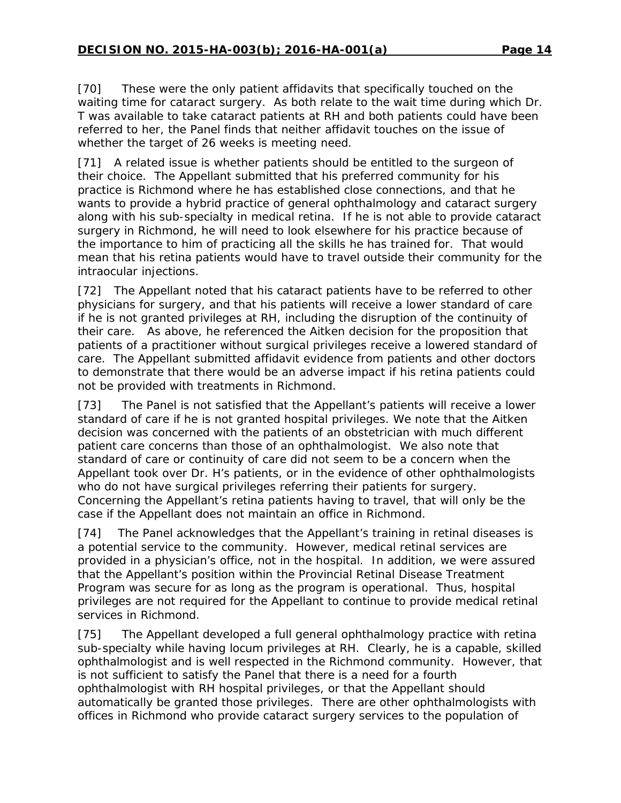[70] These were the only patient affidavits that specifically touched on the waiting time for cataract surgery. As both relate to the wait time during which Dr. T was available to take cataract patients at RH and both patients could have been referred to her, the Panel finds that neither affidavit touches on the issue of whether the target of 26 weeks is meeting need.

[71] A related issue is whether patients should be entitled to the surgeon of their choice. The Appellant submitted that his preferred community for his practice is Richmond where he has established close connections, and that he wants to provide a hybrid practice of general ophthalmology and cataract surgery along with his sub-specialty in medical retina. If he is not able to provide cataract surgery in Richmond, he will need to look elsewhere for his practice because of the importance to him of practicing all the skills he has trained for. That would mean that his retina patients would have to travel outside their community for the intraocular injections.

[72] The Appellant noted that his cataract patients have to be referred to other physicians for surgery, and that his patients will receive a lower standard of care if he is not granted privileges at RH, including the disruption of the continuity of their care. As above, he referenced the *Aitken* decision for the proposition that patients of a practitioner without surgical privileges receive a lowered standard of care. The Appellant submitted affidavit evidence from patients and other doctors to demonstrate that there would be an adverse impact if his retina patients could not be provided with treatments in Richmond.

[73] The Panel is not satisfied that the Appellant's patients will receive a lower standard of care if he is not granted hospital privileges. We note that the *Aitken* decision was concerned with the patients of an obstetrician with much different patient care concerns than those of an ophthalmologist. We also note that standard of care or continuity of care did not seem to be a concern when the Appellant took over Dr. H's patients, or in the evidence of other ophthalmologists who do not have surgical privileges referring their patients for surgery. Concerning the Appellant's retina patients having to travel, that will only be the case if the Appellant does not maintain an office in Richmond.

[74] The Panel acknowledges that the Appellant's training in retinal diseases is a potential service to the community. However, medical retinal services are provided in a physician's office, not in the hospital. In addition, we were assured that the Appellant's position within the Provincial Retinal Disease Treatment Program was secure for as long as the program is operational. Thus, hospital privileges are not required for the Appellant to continue to provide medical retinal services in Richmond.

[75] The Appellant developed a full general ophthalmology practice with retina sub-specialty while having locum privileges at RH. Clearly, he is a capable, skilled ophthalmologist and is well respected in the Richmond community. However, that is not sufficient to satisfy the Panel that there is a need for a fourth ophthalmologist with RH hospital privileges, or that the Appellant should automatically be granted those privileges. There are other ophthalmologists with offices in Richmond who provide cataract surgery services to the population of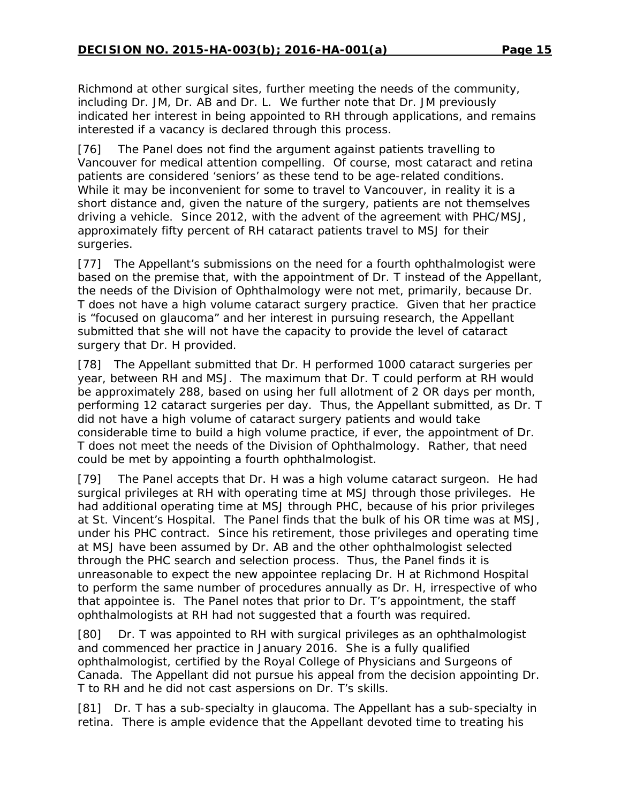Richmond at other surgical sites, further meeting the needs of the community, including Dr. JM, Dr. AB and Dr. L. We further note that Dr. JM previously indicated her interest in being appointed to RH through applications, and remains interested if a vacancy is declared through this process.

[76] The Panel does not find the argument against patients travelling to Vancouver for medical attention compelling. Of course, most cataract and retina patients are considered 'seniors' as these tend to be age-related conditions. While it may be inconvenient for some to travel to Vancouver, in reality it is a short distance and, given the nature of the surgery, patients are not themselves driving a vehicle. Since 2012, with the advent of the agreement with PHC/MSJ, approximately fifty percent of RH cataract patients travel to MSJ for their surgeries.

[77] The Appellant's submissions on the need for a fourth ophthalmologist were based on the premise that, with the appointment of Dr. T instead of the Appellant, the needs of the Division of Ophthalmology were not met, primarily, because Dr. T does not have a high volume cataract surgery practice. Given that her practice is "focused on glaucoma" and her interest in pursuing research, the Appellant submitted that she will not have the capacity to provide the level of cataract surgery that Dr. H provided.

[78] The Appellant submitted that Dr. H performed 1000 cataract surgeries per year, between RH and MSJ. The maximum that Dr. T could perform at RH would be approximately 288, based on using her full allotment of 2 OR days per month, performing 12 cataract surgeries per day. Thus, the Appellant submitted, as Dr. T did not have a high volume of cataract surgery patients and would take considerable time to build a high volume practice, if ever, the appointment of Dr. T does not meet the needs of the Division of Ophthalmology. Rather, that need could be met by appointing a fourth ophthalmologist.

[79] The Panel accepts that Dr. H was a high volume cataract surgeon. He had surgical privileges at RH with operating time at MSJ through those privileges. He had additional operating time at MSJ through PHC, because of his prior privileges at St. Vincent's Hospital. The Panel finds that the bulk of his OR time was at MSJ, under his PHC contract. Since his retirement, those privileges and operating time at MSJ have been assumed by Dr. AB and the other ophthalmologist selected through the PHC search and selection process. Thus, the Panel finds it is unreasonable to expect the new appointee replacing Dr. H at Richmond Hospital to perform the same number of procedures annually as Dr. H, irrespective of who that appointee is. The Panel notes that prior to Dr. T's appointment, the staff ophthalmologists at RH had not suggested that a fourth was required.

[80] Dr. T was appointed to RH with surgical privileges as an ophthalmologist and commenced her practice in January 2016. She is a fully qualified ophthalmologist, certified by the Royal College of Physicians and Surgeons of Canada. The Appellant did not pursue his appeal from the decision appointing Dr. T to RH and he did not cast aspersions on Dr. T's skills.

[81] Dr. T has a sub-specialty in glaucoma. The Appellant has a sub-specialty in retina. There is ample evidence that the Appellant devoted time to treating his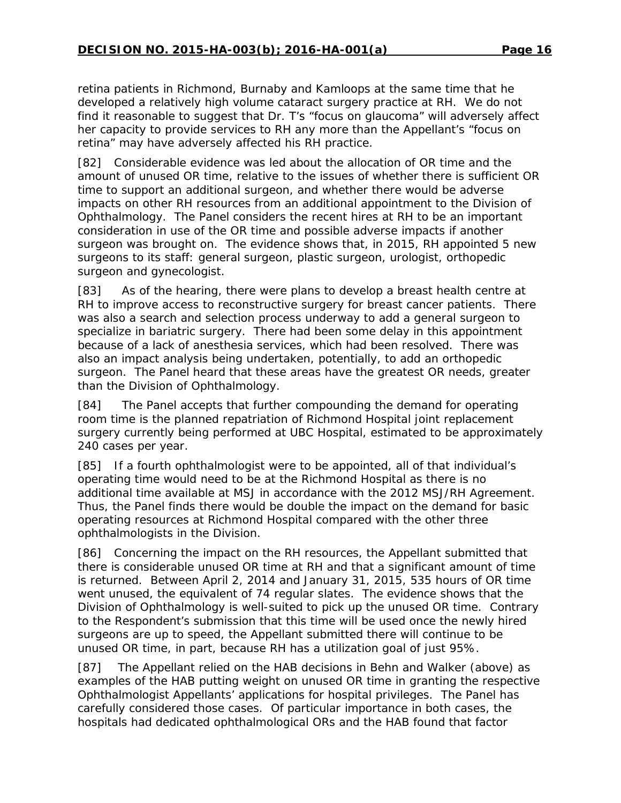retina patients in Richmond, Burnaby and Kamloops at the same time that he developed a relatively high volume cataract surgery practice at RH. We do not find it reasonable to suggest that Dr. T's "focus on glaucoma" will adversely affect her capacity to provide services to RH any more than the Appellant's "focus on retina" may have adversely affected his RH practice.

[82] Considerable evidence was led about the allocation of OR time and the amount of unused OR time, relative to the issues of whether there is sufficient OR time to support an additional surgeon, and whether there would be adverse impacts on other RH resources from an additional appointment to the Division of Ophthalmology. The Panel considers the recent hires at RH to be an important consideration in use of the OR time and possible adverse impacts if another surgeon was brought on. The evidence shows that, in 2015, RH appointed 5 new surgeons to its staff: general surgeon, plastic surgeon, urologist, orthopedic surgeon and gynecologist.

[83] As of the hearing, there were plans to develop a breast health centre at RH to improve access to reconstructive surgery for breast cancer patients. There was also a search and selection process underway to add a general surgeon to specialize in bariatric surgery. There had been some delay in this appointment because of a lack of anesthesia services, which had been resolved. There was also an impact analysis being undertaken, potentially, to add an orthopedic surgeon. The Panel heard that these areas have the greatest OR needs, greater than the Division of Ophthalmology.

[84] The Panel accepts that further compounding the demand for operating room time is the planned repatriation of Richmond Hospital joint replacement surgery currently being performed at UBC Hospital, estimated to be approximately 240 cases per year.

[85] If a fourth ophthalmologist were to be appointed, all of that individual's operating time would need to be at the Richmond Hospital as there is no additional time available at MSJ in accordance with the 2012 MSJ/RH Agreement. Thus, the Panel finds there would be double the impact on the demand for basic operating resources at Richmond Hospital compared with the other three ophthalmologists in the Division.

[86] Concerning the impact on the RH resources, the Appellant submitted that there is considerable unused OR time at RH and that a significant amount of time is returned. Between April 2, 2014 and January 31, 2015, 535 hours of OR time went unused, the equivalent of 74 regular slates. The evidence shows that the Division of Ophthalmology is well-suited to pick up the unused OR time. Contrary to the Respondent's submission that this time will be used once the newly hired surgeons are up to speed, the Appellant submitted there will continue to be unused OR time, in part, because RH has a utilization goal of just 95%.

[87] The Appellant relied on the HAB decisions in *Behn* and *Walker* (above) as examples of the HAB putting weight on unused OR time in granting the respective Ophthalmologist Appellants' applications for hospital privileges. The Panel has carefully considered those cases. Of particular importance in both cases, the hospitals had dedicated ophthalmological ORs and the HAB found that factor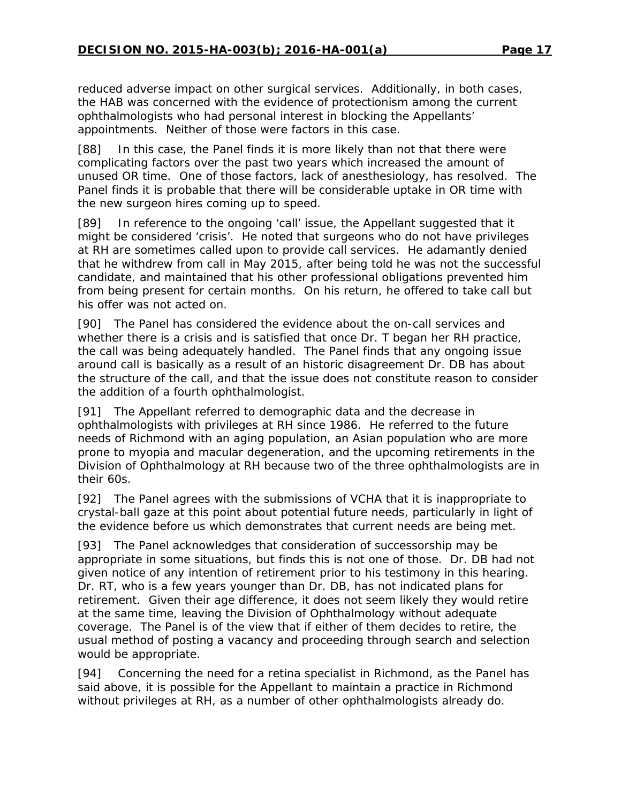reduced adverse impact on other surgical services. Additionally, in both cases, the HAB was concerned with the evidence of protectionism among the current ophthalmologists who had personal interest in blocking the Appellants' appointments. Neither of those were factors in this case.

[88] In this case, the Panel finds it is more likely than not that there were complicating factors over the past two years which increased the amount of unused OR time. One of those factors, lack of anesthesiology, has resolved. The Panel finds it is probable that there will be considerable uptake in OR time with the new surgeon hires coming up to speed.

[89] In reference to the ongoing 'call' issue, the Appellant suggested that it might be considered 'crisis'. He noted that surgeons who do not have privileges at RH are sometimes called upon to provide call services. He adamantly denied that he withdrew from call in May 2015, after being told he was not the successful candidate, and maintained that his other professional obligations prevented him from being present for certain months. On his return, he offered to take call but his offer was not acted on.

[90] The Panel has considered the evidence about the on-call services and whether there is a crisis and is satisfied that once Dr. T began her RH practice, the call was being adequately handled. The Panel finds that any ongoing issue around call is basically as a result of an historic disagreement Dr. DB has about the structure of the call, and that the issue does not constitute reason to consider the addition of a fourth ophthalmologist.

[91] The Appellant referred to demographic data and the decrease in ophthalmologists with privileges at RH since 1986. He referred to the future needs of Richmond with an aging population, an Asian population who are more prone to myopia and macular degeneration, and the upcoming retirements in the Division of Ophthalmology at RH because two of the three ophthalmologists are in their 60s.

[92] The Panel agrees with the submissions of VCHA that it is inappropriate to crystal-ball gaze at this point about potential future needs, particularly in light of the evidence before us which demonstrates that current needs are being met.

[93] The Panel acknowledges that consideration of successorship may be appropriate in some situations, but finds this is not one of those. Dr. DB had not given notice of any intention of retirement prior to his testimony in this hearing. Dr. RT, who is a few years younger than Dr. DB, has not indicated plans for retirement. Given their age difference, it does not seem likely they would retire at the same time, leaving the Division of Ophthalmology without adequate coverage. The Panel is of the view that if either of them decides to retire, the usual method of posting a vacancy and proceeding through search and selection would be appropriate.

[94] Concerning the need for a retina specialist in Richmond, as the Panel has said above, it is possible for the Appellant to maintain a practice in Richmond without privileges at RH, as a number of other ophthalmologists already do.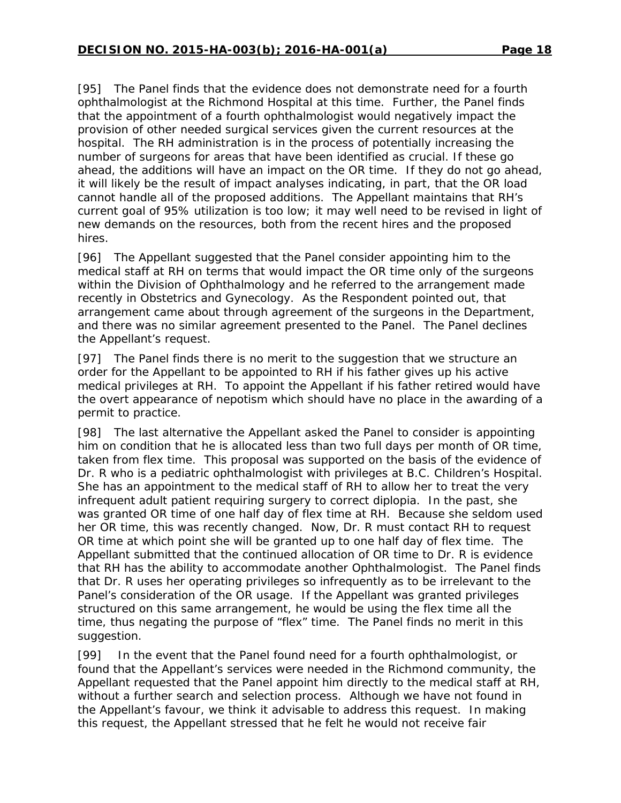[95] The Panel finds that the evidence does not demonstrate need for a fourth ophthalmologist at the Richmond Hospital at this time. Further, the Panel finds that the appointment of a fourth ophthalmologist would negatively impact the provision of other needed surgical services given the current resources at the hospital. The RH administration is in the process of potentially increasing the number of surgeons for areas that have been identified as crucial. If these go ahead, the additions will have an impact on the OR time. If they do not go ahead, it will likely be the result of impact analyses indicating, in part, that the OR load cannot handle all of the proposed additions. The Appellant maintains that RH's current goal of 95% utilization is too low; it may well need to be revised in light of new demands on the resources, both from the recent hires and the proposed hires.

[96] The Appellant suggested that the Panel consider appointing him to the medical staff at RH on terms that would impact the OR time only of the surgeons within the Division of Ophthalmology and he referred to the arrangement made recently in Obstetrics and Gynecology. As the Respondent pointed out, that arrangement came about through agreement of the surgeons in the Department, and there was no similar agreement presented to the Panel. The Panel declines the Appellant's request.

[97] The Panel finds there is no merit to the suggestion that we structure an order for the Appellant to be appointed to RH if his father gives up his active medical privileges at RH. To appoint the Appellant if his father retired would have the overt appearance of nepotism which should have no place in the awarding of a permit to practice.

[98] The last alternative the Appellant asked the Panel to consider is appointing him on condition that he is allocated less than two full days per month of OR time, taken from flex time. This proposal was supported on the basis of the evidence of Dr. R who is a pediatric ophthalmologist with privileges at B.C. Children's Hospital. She has an appointment to the medical staff of RH to allow her to treat the very infrequent adult patient requiring surgery to correct diplopia. In the past, she was granted OR time of one half day of flex time at RH. Because she seldom used her OR time, this was recently changed. Now, Dr. R must contact RH to request OR time at which point she will be granted up to one half day of flex time. The Appellant submitted that the continued allocation of OR time to Dr. R is evidence that RH has the ability to accommodate another Ophthalmologist. The Panel finds that Dr. R uses her operating privileges so infrequently as to be irrelevant to the Panel's consideration of the OR usage. If the Appellant was granted privileges structured on this same arrangement, he would be using the flex time all the time, thus negating the purpose of "flex" time. The Panel finds no merit in this suggestion.

[99] In the event that the Panel found need for a fourth ophthalmologist, or found that the Appellant's services were needed in the Richmond community, the Appellant requested that the Panel appoint him directly to the medical staff at RH, without a further search and selection process. Although we have not found in the Appellant's favour, we think it advisable to address this request. In making this request, the Appellant stressed that he felt he would not receive fair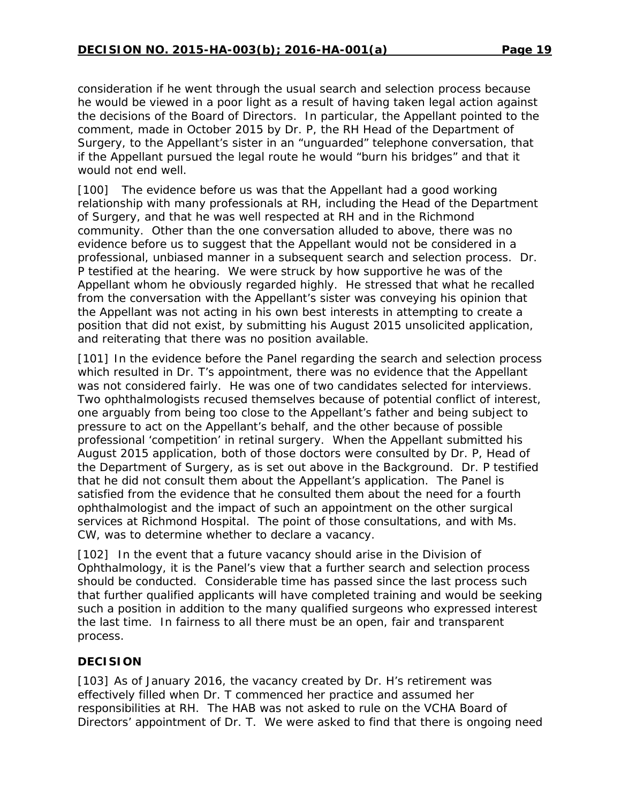consideration if he went through the usual search and selection process because he would be viewed in a poor light as a result of having taken legal action against the decisions of the Board of Directors. In particular, the Appellant pointed to the comment, made in October 2015 by Dr. P, the RH Head of the Department of Surgery, to the Appellant's sister in an "unguarded" telephone conversation, that if the Appellant pursued the legal route he would "burn his bridges" and that it would not end well.

[100] The evidence before us was that the Appellant had a good working relationship with many professionals at RH, including the Head of the Department of Surgery, and that he was well respected at RH and in the Richmond community. Other than the one conversation alluded to above, there was no evidence before us to suggest that the Appellant would not be considered in a professional, unbiased manner in a subsequent search and selection process. Dr. P testified at the hearing. We were struck by how supportive he was of the Appellant whom he obviously regarded highly. He stressed that what he recalled from the conversation with the Appellant's sister was conveying his opinion that the Appellant was not acting in his own best interests in attempting to create a position that did not exist, by submitting his August 2015 unsolicited application, and reiterating that there was no position available.

[101] In the evidence before the Panel regarding the search and selection process which resulted in Dr. T's appointment, there was no evidence that the Appellant was not considered fairly. He was one of two candidates selected for interviews. Two ophthalmologists recused themselves because of potential conflict of interest, one arguably from being too close to the Appellant's father and being subject to pressure to act on the Appellant's behalf, and the other because of possible professional 'competition' in retinal surgery. When the Appellant submitted his August 2015 application, both of those doctors were consulted by Dr. P, Head of the Department of Surgery, as is set out above in the Background. Dr. P testified that he did not consult them about the Appellant's application. The Panel is satisfied from the evidence that he consulted them about the need for a fourth ophthalmologist and the impact of such an appointment on the other surgical services at Richmond Hospital. The point of those consultations, and with Ms. CW, was to determine whether to declare a vacancy.

[102] In the event that a future vacancy should arise in the Division of Ophthalmology, it is the Panel's view that a further search and selection process should be conducted. Considerable time has passed since the last process such that further qualified applicants will have completed training and would be seeking such a position in addition to the many qualified surgeons who expressed interest the last time. In fairness to all there must be an open, fair and transparent process.

## **DECISION**

[103] As of January 2016, the vacancy created by Dr. H's retirement was effectively filled when Dr. T commenced her practice and assumed her responsibilities at RH. The HAB was not asked to rule on the VCHA Board of Directors' appointment of Dr. T. We were asked to find that there is ongoing need